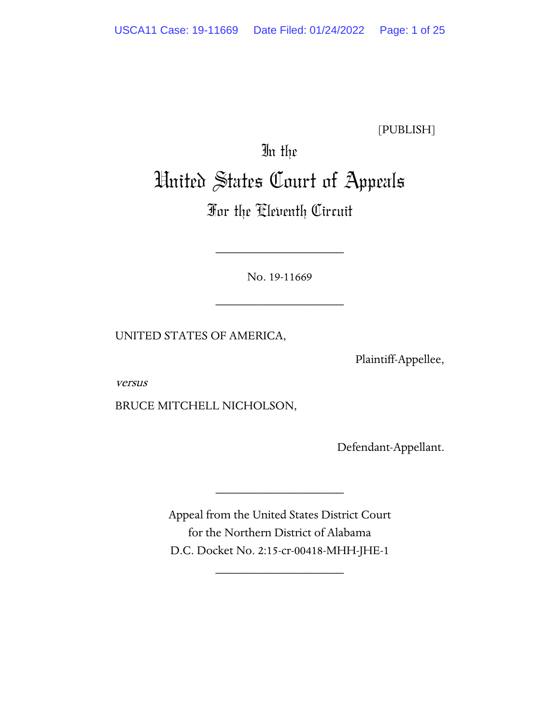[PUBLISH]

# In the United States Court of Appeals

## For the Eleventh Circuit

No. 19-11669

\_\_\_\_\_\_\_\_\_\_\_\_\_\_\_\_\_\_\_\_

\_\_\_\_\_\_\_\_\_\_\_\_\_\_\_\_\_\_\_\_

UNITED STATES OF AMERICA,

Plaintiff-Appellee,

versus

BRUCE MITCHELL NICHOLSON,

Defendant-Appellant.

Appeal from the United States District Court for the Northern District of Alabama D.C. Docket No. 2:15-cr-00418-MHH-JHE-1

\_\_\_\_\_\_\_\_\_\_\_\_\_\_\_\_\_\_\_\_

\_\_\_\_\_\_\_\_\_\_\_\_\_\_\_\_\_\_\_\_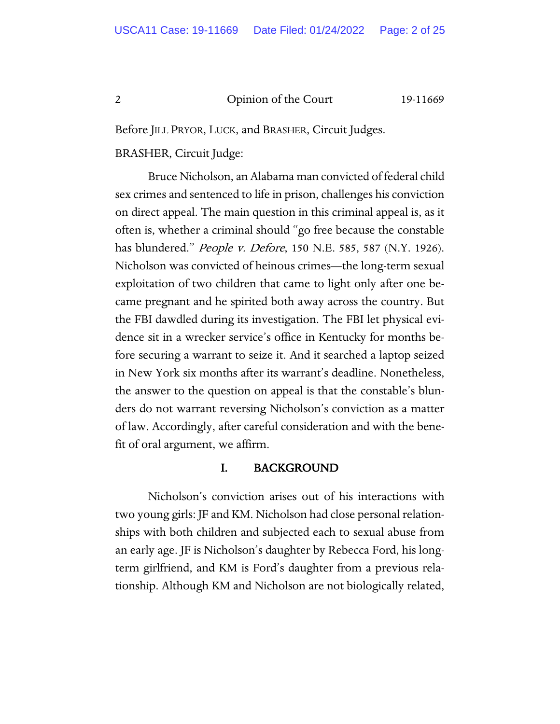Before JILL PRYOR, LUCK, and BRASHER, Circuit Judges.

### BRASHER, Circuit Judge:

Bruce Nicholson, an Alabama man convicted of federal child sex crimes and sentenced to life in prison, challenges his conviction on direct appeal. The main question in this criminal appeal is, as it often is, whether a criminal should "go free because the constable has blundered." People v. Defore, 150 N.E. 585, 587 (N.Y. 1926). Nicholson was convicted of heinous crimes—the long-term sexual exploitation of two children that came to light only after one became pregnant and he spirited both away across the country. But the FBI dawdled during its investigation. The FBI let physical evidence sit in a wrecker service's office in Kentucky for months before securing a warrant to seize it. And it searched a laptop seized in New York six months after its warrant's deadline. Nonetheless, the answer to the question on appeal is that the constable's blunders do not warrant reversing Nicholson's conviction as a matter of law. Accordingly, after careful consideration and with the benefit of oral argument, we affirm.

### I. BACKGROUND

Nicholson's conviction arises out of his interactions with two young girls: JF and KM. Nicholson had close personal relationships with both children and subjected each to sexual abuse from an early age. JF is Nicholson's daughter by Rebecca Ford, his longterm girlfriend, and KM is Ford's daughter from a previous relationship. Although KM and Nicholson are not biologically related,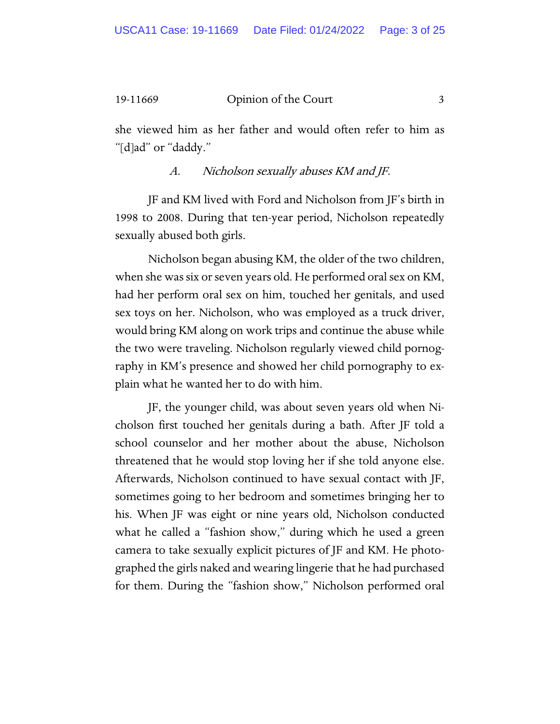she viewed him as her father and would often refer to him as "[d]ad" or "daddy."

A. Nicholson sexually abuses KM and JF.

JF and KM lived with Ford and Nicholson from JF's birth in 1998 to 2008. During that ten-year period, Nicholson repeatedly sexually abused both girls.

Nicholson began abusing KM, the older of the two children, when she was six or seven years old. He performed oral sex on KM, had her perform oral sex on him, touched her genitals, and used sex toys on her. Nicholson, who was employed as a truck driver, would bring KM along on work trips and continue the abuse while the two were traveling. Nicholson regularly viewed child pornography in KM's presence and showed her child pornography to explain what he wanted her to do with him.

JF, the younger child, was about seven years old when Nicholson first touched her genitals during a bath. After JF told a school counselor and her mother about the abuse, Nicholson threatened that he would stop loving her if she told anyone else. Afterwards, Nicholson continued to have sexual contact with JF, sometimes going to her bedroom and sometimes bringing her to his. When JF was eight or nine years old, Nicholson conducted what he called a "fashion show," during which he used a green camera to take sexually explicit pictures of JF and KM. He photographed the girls naked and wearing lingerie that he had purchased for them. During the "fashion show," Nicholson performed oral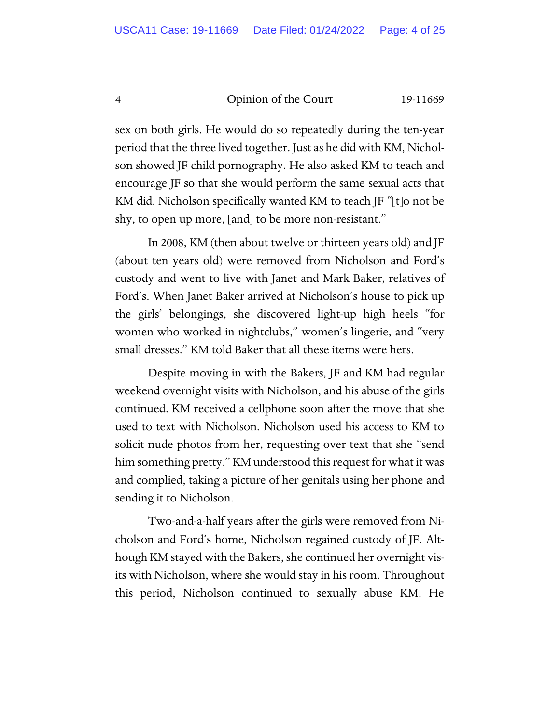sex on both girls. He would do so repeatedly during the ten-year period that the three lived together. Just as he did with KM, Nicholson showed JF child pornography. He also asked KM to teach and encourage JF so that she would perform the same sexual acts that KM did. Nicholson specifically wanted KM to teach JF "[t]o not be shy, to open up more, [and] to be more non-resistant."

In 2008, KM (then about twelve or thirteen years old) and JF (about ten years old) were removed from Nicholson and Ford's custody and went to live with Janet and Mark Baker, relatives of Ford's. When Janet Baker arrived at Nicholson's house to pick up the girls' belongings, she discovered light-up high heels "for women who worked in nightclubs," women's lingerie, and "very small dresses." KM told Baker that all these items were hers.

Despite moving in with the Bakers, JF and KM had regular weekend overnight visits with Nicholson, and his abuse of the girls continued. KM received a cellphone soon after the move that she used to text with Nicholson. Nicholson used his access to KM to solicit nude photos from her, requesting over text that she "send him something pretty." KM understood this request for what it was and complied, taking a picture of her genitals using her phone and sending it to Nicholson.

Two-and-a-half years after the girls were removed from Nicholson and Ford's home, Nicholson regained custody of JF. Although KM stayed with the Bakers, she continued her overnight visits with Nicholson, where she would stay in his room. Throughout this period, Nicholson continued to sexually abuse KM. He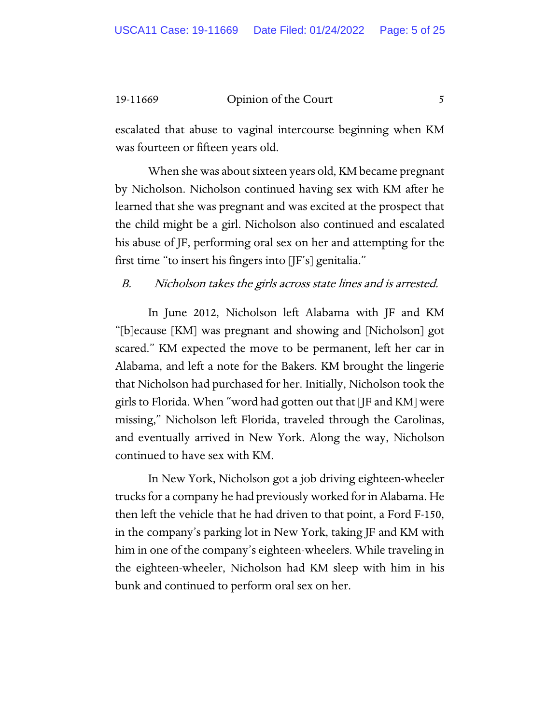escalated that abuse to vaginal intercourse beginning when KM was fourteen or fifteen years old.

When she was about sixteen years old, KM became pregnant by Nicholson. Nicholson continued having sex with KM after he learned that she was pregnant and was excited at the prospect that the child might be a girl. Nicholson also continued and escalated his abuse of JF, performing oral sex on her and attempting for the first time "to insert his fingers into [JF's] genitalia."

B. Nicholson takes the girls across state lines and is arrested.

In June 2012, Nicholson left Alabama with JF and KM "[b]ecause [KM] was pregnant and showing and [Nicholson] got scared." KM expected the move to be permanent, left her car in Alabama, and left a note for the Bakers. KM brought the lingerie that Nicholson had purchased for her. Initially, Nicholson took the girls to Florida. When "word had gotten out that [JF and KM] were missing," Nicholson left Florida, traveled through the Carolinas, and eventually arrived in New York. Along the way, Nicholson continued to have sex with KM.

In New York, Nicholson got a job driving eighteen-wheeler trucks for a company he had previously worked for in Alabama. He then left the vehicle that he had driven to that point, a Ford F-150, in the company's parking lot in New York, taking JF and KM with him in one of the company's eighteen-wheelers. While traveling in the eighteen-wheeler, Nicholson had KM sleep with him in his bunk and continued to perform oral sex on her.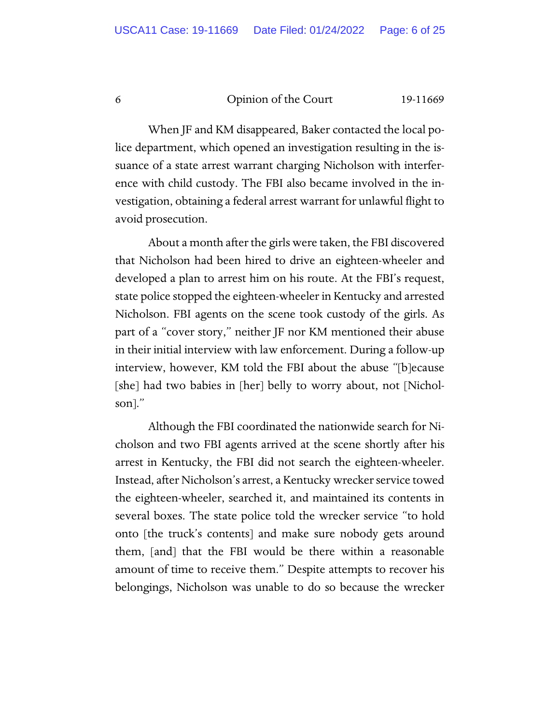When JF and KM disappeared, Baker contacted the local police department, which opened an investigation resulting in the issuance of a state arrest warrant charging Nicholson with interference with child custody. The FBI also became involved in the investigation, obtaining a federal arrest warrant for unlawful flight to avoid prosecution.

About a month after the girls were taken, the FBI discovered that Nicholson had been hired to drive an eighteen-wheeler and developed a plan to arrest him on his route. At the FBI's request, state police stopped the eighteen-wheeler in Kentucky and arrested Nicholson. FBI agents on the scene took custody of the girls. As part of a "cover story," neither JF nor KM mentioned their abuse in their initial interview with law enforcement. During a follow-up interview, however, KM told the FBI about the abuse "[b]ecause [she] had two babies in [her] belly to worry about, not [Nicholson]."

Although the FBI coordinated the nationwide search for Nicholson and two FBI agents arrived at the scene shortly after his arrest in Kentucky, the FBI did not search the eighteen-wheeler. Instead, after Nicholson's arrest, a Kentucky wrecker service towed the eighteen-wheeler, searched it, and maintained its contents in several boxes. The state police told the wrecker service "to hold onto [the truck's contents] and make sure nobody gets around them, [and] that the FBI would be there within a reasonable amount of time to receive them." Despite attempts to recover his belongings, Nicholson was unable to do so because the wrecker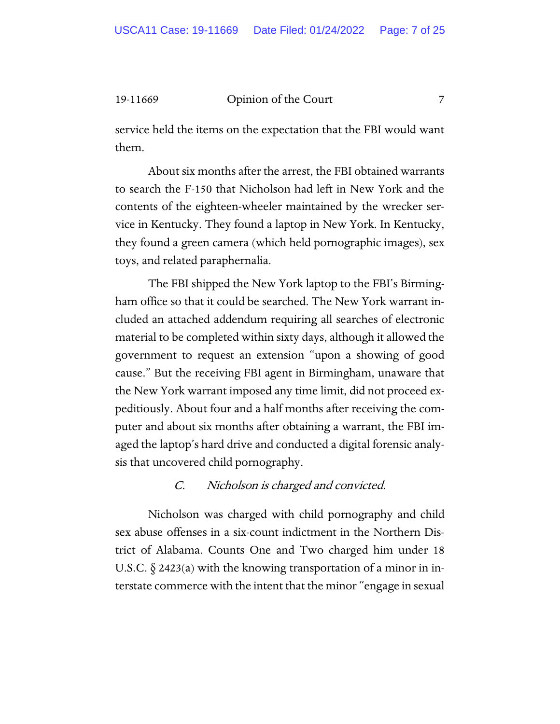service held the items on the expectation that the FBI would want them.

About six months after the arrest, the FBI obtained warrants to search the F-150 that Nicholson had left in New York and the contents of the eighteen-wheeler maintained by the wrecker service in Kentucky. They found a laptop in New York. In Kentucky, they found a green camera (which held pornographic images), sex toys, and related paraphernalia.

The FBI shipped the New York laptop to the FBI's Birmingham office so that it could be searched. The New York warrant included an attached addendum requiring all searches of electronic material to be completed within sixty days, although it allowed the government to request an extension "upon a showing of good cause." But the receiving FBI agent in Birmingham, unaware that the New York warrant imposed any time limit, did not proceed expeditiously. About four and a half months after receiving the computer and about six months after obtaining a warrant, the FBI imaged the laptop's hard drive and conducted a digital forensic analysis that uncovered child pornography.

### C. Nicholson is charged and convicted.

Nicholson was charged with child pornography and child sex abuse offenses in a six-count indictment in the Northern District of Alabama. Counts One and Two charged him under 18 U.S.C.  $\S$  2423(a) with the knowing transportation of a minor in interstate commerce with the intent that the minor "engage in sexual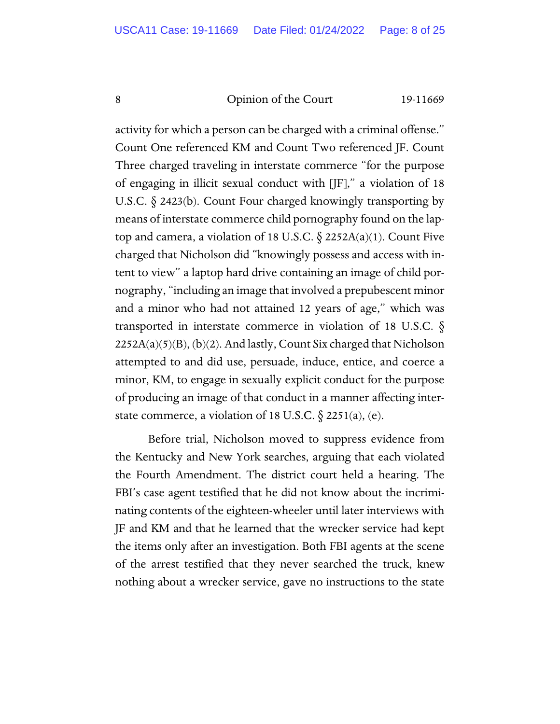activity for which a person can be charged with a criminal offense." Count One referenced KM and Count Two referenced JF. Count Three charged traveling in interstate commerce "for the purpose of engaging in illicit sexual conduct with [JF]," a violation of 18 U.S.C. § 2423(b). Count Four charged knowingly transporting by means of interstate commerce child pornography found on the laptop and camera, a violation of 18 U.S.C.  $\S$  2252A(a)(1). Count Five charged that Nicholson did "knowingly possess and access with intent to view" a laptop hard drive containing an image of child pornography, "including an image that involved a prepubescent minor and a minor who had not attained 12 years of age," which was transported in interstate commerce in violation of 18 U.S.C.  $\S$  $2252A(a)(5)(B)$ ,  $(b)(2)$ . And lastly, Count Six charged that Nicholson attempted to and did use, persuade, induce, entice, and coerce a minor, KM, to engage in sexually explicit conduct for the purpose of producing an image of that conduct in a manner affecting interstate commerce, a violation of 18 U.S.C.  $\S$  2251(a), (e).

Before trial, Nicholson moved to suppress evidence from the Kentucky and New York searches, arguing that each violated the Fourth Amendment. The district court held a hearing. The FBI's case agent testified that he did not know about the incriminating contents of the eighteen-wheeler until later interviews with JF and KM and that he learned that the wrecker service had kept the items only after an investigation. Both FBI agents at the scene of the arrest testified that they never searched the truck, knew nothing about a wrecker service, gave no instructions to the state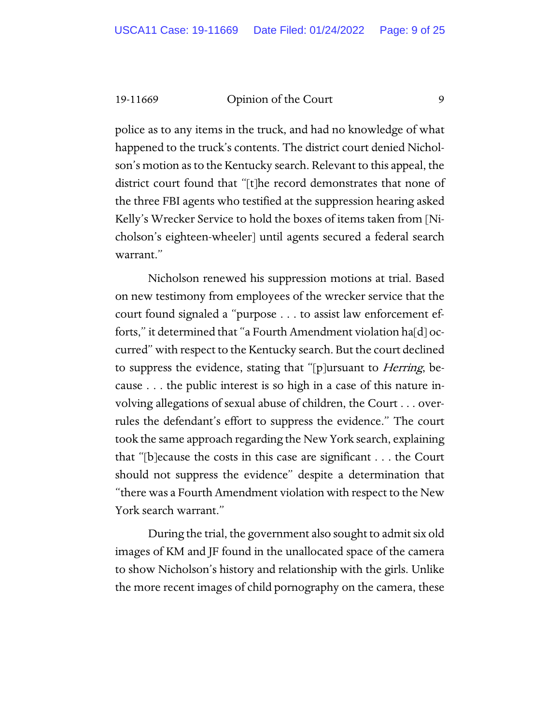police as to any items in the truck, and had no knowledge of what happened to the truck's contents. The district court denied Nicholson's motion as to the Kentucky search. Relevant to this appeal, the district court found that "[t]he record demonstrates that none of the three FBI agents who testified at the suppression hearing asked Kelly's Wrecker Service to hold the boxes of items taken from [Nicholson's eighteen-wheeler] until agents secured a federal search warrant."

Nicholson renewed his suppression motions at trial. Based on new testimony from employees of the wrecker service that the court found signaled a "purpose . . . to assist law enforcement efforts," it determined that "a Fourth Amendment violation ha[d] occurred" with respect to the Kentucky search. But the court declined to suppress the evidence, stating that "[p]ursuant to Herring, because . . . the public interest is so high in a case of this nature involving allegations of sexual abuse of children, the Court . . . overrules the defendant's effort to suppress the evidence." The court took the same approach regarding the New York search, explaining that "[b]ecause the costs in this case are significant . . . the Court should not suppress the evidence" despite a determination that "there was a Fourth Amendment violation with respect to the New York search warrant."

During the trial, the government also sought to admit six old images of KM and JF found in the unallocated space of the camera to show Nicholson's history and relationship with the girls. Unlike the more recent images of child pornography on the camera, these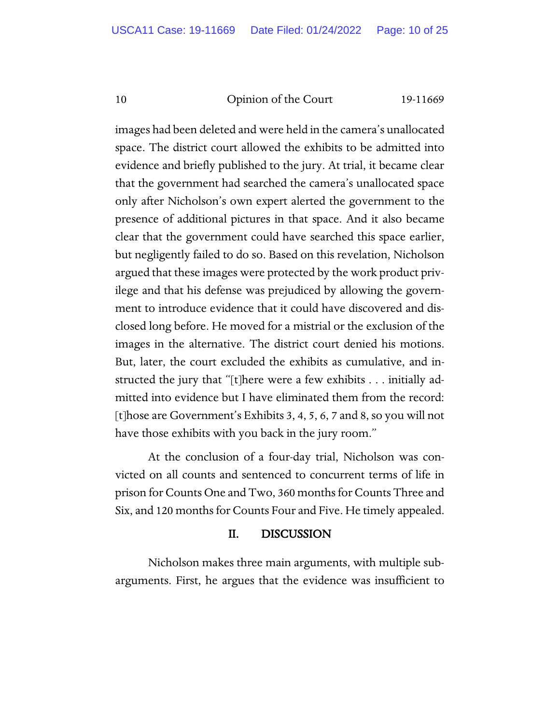images had been deleted and were held in the camera's unallocated space. The district court allowed the exhibits to be admitted into evidence and briefly published to the jury. At trial, it became clear that the government had searched the camera's unallocated space only after Nicholson's own expert alerted the government to the presence of additional pictures in that space. And it also became clear that the government could have searched this space earlier, but negligently failed to do so. Based on this revelation, Nicholson argued that these images were protected by the work product privilege and that his defense was prejudiced by allowing the government to introduce evidence that it could have discovered and disclosed long before. He moved for a mistrial or the exclusion of the images in the alternative. The district court denied his motions. But, later, the court excluded the exhibits as cumulative, and instructed the jury that "[t]here were a few exhibits . . . initially admitted into evidence but I have eliminated them from the record: [t]hose are Government's Exhibits 3, 4, 5, 6, 7 and 8, so you will not have those exhibits with you back in the jury room."

At the conclusion of a four-day trial, Nicholson was convicted on all counts and sentenced to concurrent terms of life in prison for Counts One and Two, 360 months for Counts Three and Six, and 120 months for Counts Four and Five. He timely appealed.

### II. DISCUSSION

Nicholson makes three main arguments, with multiple subarguments. First, he argues that the evidence was insufficient to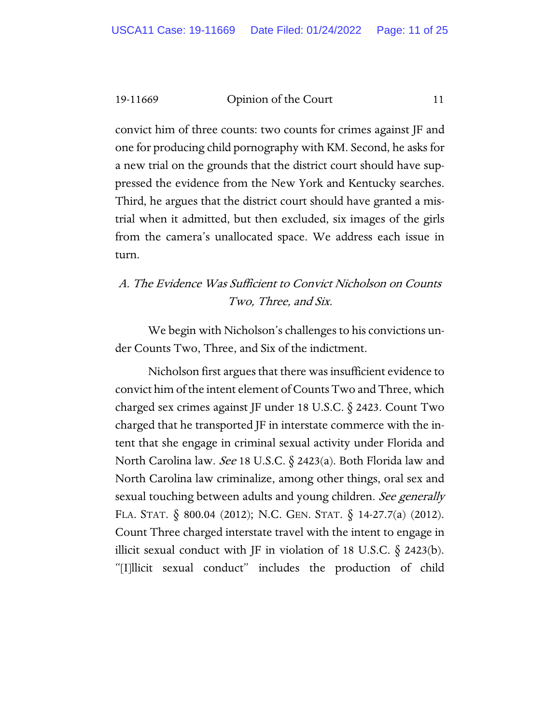convict him of three counts: two counts for crimes against JF and one for producing child pornography with KM. Second, he asks for a new trial on the grounds that the district court should have suppressed the evidence from the New York and Kentucky searches. Third, he argues that the district court should have granted a mistrial when it admitted, but then excluded, six images of the girls from the camera's unallocated space. We address each issue in turn.

### A. The Evidence Was Sufficient to Convict Nicholson on Counts Two, Three, and Six.

We begin with Nicholson's challenges to his convictions under Counts Two, Three, and Six of the indictment.

Nicholson first argues that there was insufficient evidence to convict him of the intent element of Counts Two and Three, which charged sex crimes against JF under 18 U.S.C. § 2423. Count Two charged that he transported JF in interstate commerce with the intent that she engage in criminal sexual activity under Florida and North Carolina law. See 18 U.S.C. § 2423(a). Both Florida law and North Carolina law criminalize, among other things, oral sex and sexual touching between adults and young children. See generally FLA. STAT. § 800.04 (2012); N.C. GEN. STAT. § 14-27.7(a) (2012). Count Three charged interstate travel with the intent to engage in illicit sexual conduct with JF in violation of 18 U.S.C.  $\S$  2423(b). "[I]llicit sexual conduct" includes the production of child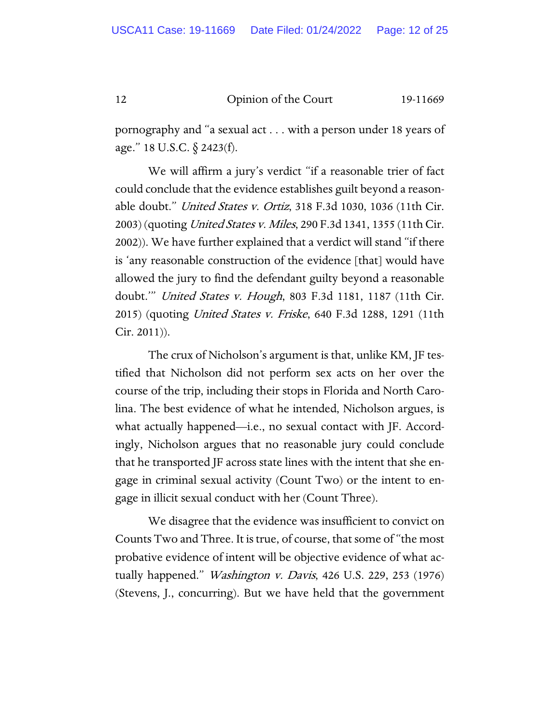pornography and "a sexual act . . . with a person under 18 years of age." 18 U.S.C. § 2423(f).

We will affirm a jury's verdict "if a reasonable trier of fact could conclude that the evidence establishes guilt beyond a reasonable doubt." United States v. Ortiz, 318 F.3d 1030, 1036 (11th Cir. 2003) (quoting *United States v. Miles*, 290 F.3d 1341, 1355 (11th Cir. 2002)). We have further explained that a verdict will stand "if there is 'any reasonable construction of the evidence [that] would have allowed the jury to find the defendant guilty beyond a reasonable doubt." United States v. Hough, 803 F.3d 1181, 1187 (11th Cir. 2015) (quoting *United States v. Friske*, 640 F.3d 1288, 1291 (11th Cir. 2011)).

The crux of Nicholson's argument is that, unlike KM, JF testified that Nicholson did not perform sex acts on her over the course of the trip, including their stops in Florida and North Carolina. The best evidence of what he intended, Nicholson argues, is what actually happened—i.e., no sexual contact with JF. Accordingly, Nicholson argues that no reasonable jury could conclude that he transported JF across state lines with the intent that she engage in criminal sexual activity (Count Two) or the intent to engage in illicit sexual conduct with her (Count Three).

We disagree that the evidence was insufficient to convict on Counts Two and Three. It is true, of course, that some of "the most probative evidence of intent will be objective evidence of what actually happened." *Washington v. Davis*, 426 U.S. 229, 253 (1976) (Stevens, J., concurring). But we have held that the government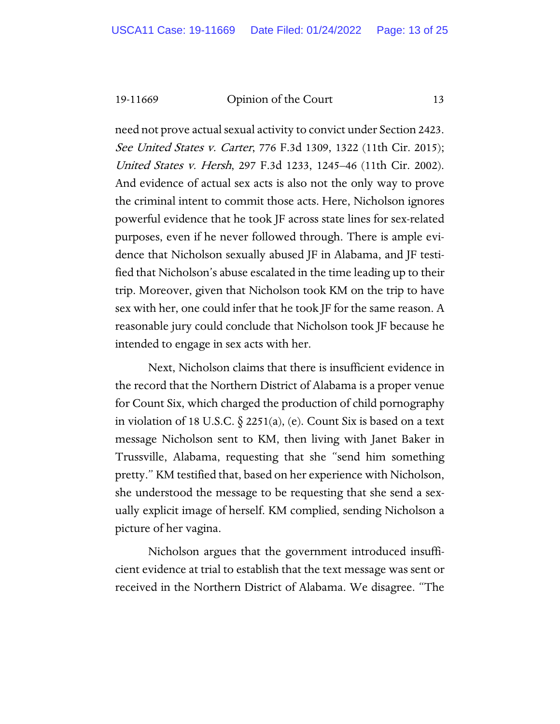need not prove actual sexual activity to convict under Section 2423. See United States v. Carter, 776 F.3d 1309, 1322 (11th Cir. 2015); United States v. Hersh, 297 F.3d 1233, 1245–46 (11th Cir. 2002). And evidence of actual sex acts is also not the only way to prove the criminal intent to commit those acts. Here, Nicholson ignores powerful evidence that he took JF across state lines for sex-related purposes, even if he never followed through. There is ample evidence that Nicholson sexually abused JF in Alabama, and JF testified that Nicholson's abuse escalated in the time leading up to their trip. Moreover, given that Nicholson took KM on the trip to have sex with her, one could infer that he took JF for the same reason. A reasonable jury could conclude that Nicholson took JF because he intended to engage in sex acts with her.

Next, Nicholson claims that there is insufficient evidence in the record that the Northern District of Alabama is a proper venue for Count Six, which charged the production of child pornography in violation of 18 U.S.C.  $\S$  2251(a), (e). Count Six is based on a text message Nicholson sent to KM, then living with Janet Baker in Trussville, Alabama, requesting that she "send him something pretty." KM testified that, based on her experience with Nicholson, she understood the message to be requesting that she send a sexually explicit image of herself. KM complied, sending Nicholson a picture of her vagina.

Nicholson argues that the government introduced insufficient evidence at trial to establish that the text message was sent or received in the Northern District of Alabama. We disagree. "The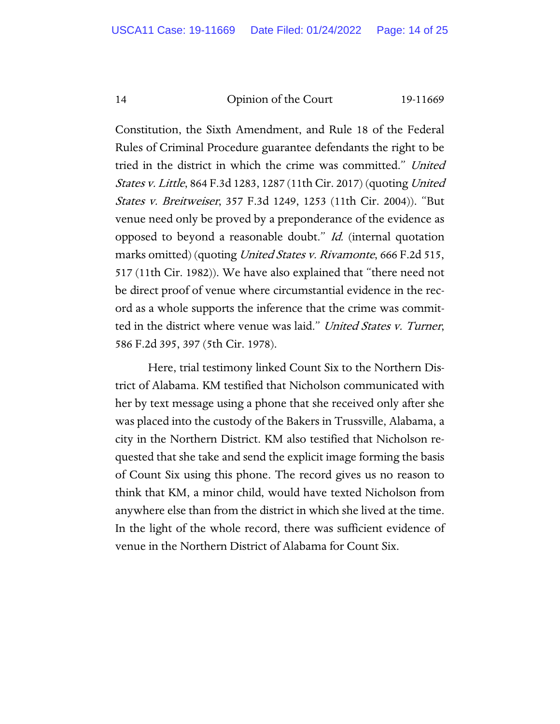Constitution, the Sixth Amendment, and Rule 18 of the Federal Rules of Criminal Procedure guarantee defendants the right to be tried in the district in which the crime was committed." United States v. Little, 864 F.3d 1283, 1287 (11th Cir. 2017) (quoting United States v. Breitweiser, 357 F.3d 1249, 1253 (11th Cir. 2004)). "But venue need only be proved by a preponderance of the evidence as opposed to beyond a reasonable doubt." Id. (internal quotation marks omitted) (quoting United States v. Rivamonte, 666 F.2d 515, 517 (11th Cir. 1982)). We have also explained that "there need not be direct proof of venue where circumstantial evidence in the record as a whole supports the inference that the crime was committed in the district where venue was laid." United States v. Turner, 586 F.2d 395, 397 (5th Cir. 1978).

Here, trial testimony linked Count Six to the Northern District of Alabama. KM testified that Nicholson communicated with her by text message using a phone that she received only after she was placed into the custody of the Bakers in Trussville, Alabama, a city in the Northern District. KM also testified that Nicholson requested that she take and send the explicit image forming the basis of Count Six using this phone. The record gives us no reason to think that KM, a minor child, would have texted Nicholson from anywhere else than from the district in which she lived at the time. In the light of the whole record, there was sufficient evidence of venue in the Northern District of Alabama for Count Six.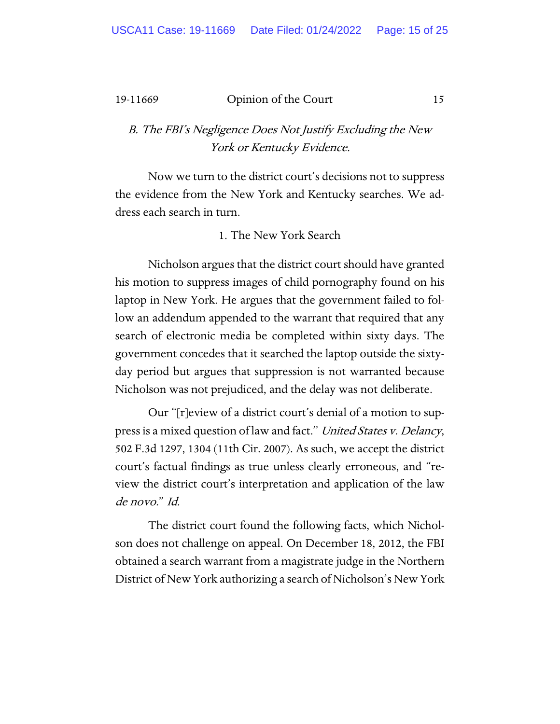### B. The FBI's Negligence Does Not Justify Excluding the New York or Kentucky Evidence.

Now we turn to the district court's decisions not to suppress the evidence from the New York and Kentucky searches. We address each search in turn.

### 1. The New York Search

Nicholson argues that the district court should have granted his motion to suppress images of child pornography found on his laptop in New York. He argues that the government failed to follow an addendum appended to the warrant that required that any search of electronic media be completed within sixty days. The government concedes that it searched the laptop outside the sixtyday period but argues that suppression is not warranted because Nicholson was not prejudiced, and the delay was not deliberate.

Our "[r]eview of a district court's denial of a motion to suppress is a mixed question of law and fact." United States v. Delancy, 502 F.3d 1297, 1304 (11th Cir. 2007). As such, we accept the district court's factual findings as true unless clearly erroneous, and "review the district court's interpretation and application of the law de novo." Id.

The district court found the following facts, which Nicholson does not challenge on appeal. On December 18, 2012, the FBI obtained a search warrant from a magistrate judge in the Northern District of New York authorizing a search of Nicholson's New York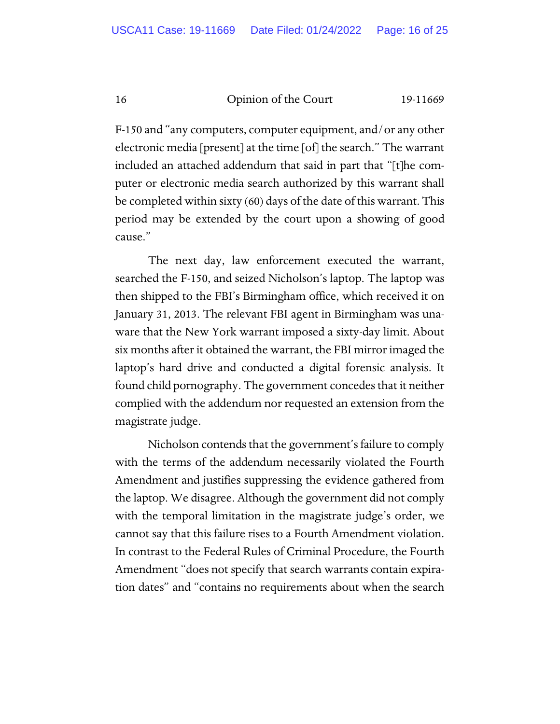F-150 and "any computers, computer equipment, and/or any other electronic media [present] at the time [of] the search." The warrant included an attached addendum that said in part that "[t]he computer or electronic media search authorized by this warrant shall be completed within sixty (60) days of the date of this warrant. This period may be extended by the court upon a showing of good cause."

The next day, law enforcement executed the warrant, searched the F-150, and seized Nicholson's laptop. The laptop was then shipped to the FBI's Birmingham office, which received it on January 31, 2013. The relevant FBI agent in Birmingham was unaware that the New York warrant imposed a sixty-day limit. About six months after it obtained the warrant, the FBI mirror imaged the laptop's hard drive and conducted a digital forensic analysis. It found child pornography. The government concedes that it neither complied with the addendum nor requested an extension from the magistrate judge.

Nicholson contends that the government's failure to comply with the terms of the addendum necessarily violated the Fourth Amendment and justifies suppressing the evidence gathered from the laptop. We disagree. Although the government did not comply with the temporal limitation in the magistrate judge's order, we cannot say that this failure rises to a Fourth Amendment violation. In contrast to the Federal Rules of Criminal Procedure, the Fourth Amendment "does not specify that search warrants contain expiration dates" and "contains no requirements about when the search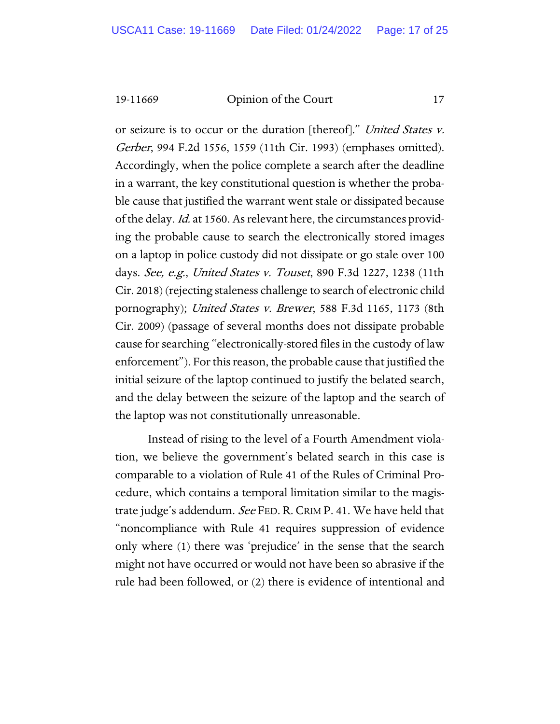or seizure is to occur or the duration [thereof]." United States v. Gerber, 994 F.2d 1556, 1559 (11th Cir. 1993) (emphases omitted). Accordingly, when the police complete a search after the deadline in a warrant, the key constitutional question is whether the probable cause that justified the warrant went stale or dissipated because of the delay. Id. at 1560. As relevant here, the circumstances providing the probable cause to search the electronically stored images on a laptop in police custody did not dissipate or go stale over 100 days. See, e.g., United States v. Touset, 890 F.3d 1227, 1238 (11th Cir. 2018) (rejecting staleness challenge to search of electronic child pornography); United States v. Brewer, 588 F.3d 1165, 1173 (8th Cir. 2009) (passage of several months does not dissipate probable cause for searching "electronically-stored files in the custody of law enforcement"). For this reason, the probable cause that justified the initial seizure of the laptop continued to justify the belated search, and the delay between the seizure of the laptop and the search of the laptop was not constitutionally unreasonable.

Instead of rising to the level of a Fourth Amendment violation, we believe the government's belated search in this case is comparable to a violation of Rule 41 of the Rules of Criminal Procedure, which contains a temporal limitation similar to the magistrate judge's addendum. See FED. R. CRIM P. 41. We have held that "noncompliance with Rule 41 requires suppression of evidence only where (1) there was 'prejudice' in the sense that the search might not have occurred or would not have been so abrasive if the rule had been followed, or (2) there is evidence of intentional and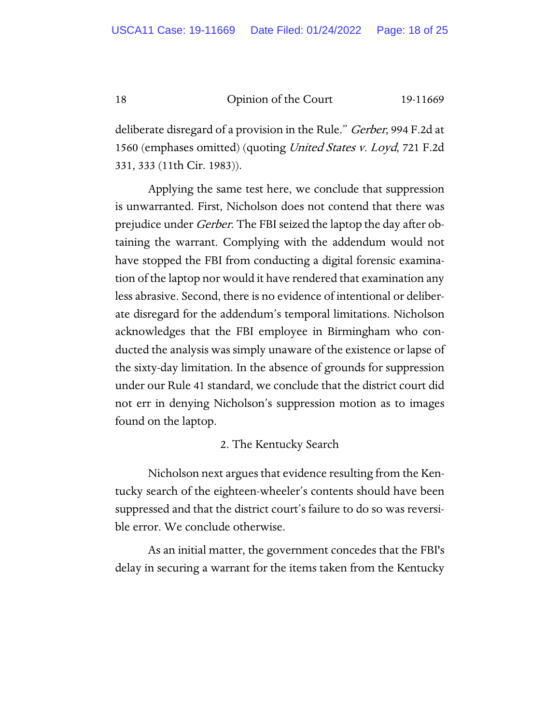deliberate disregard of a provision in the Rule." *Gerber*, 994 F.2d at 1560 (emphases omitted) (quoting United States v. Loyd, 721 F.2d 331, 333 (11th Cir. 1983)).

Applying the same test here, we conclude that suppression is unwarranted. First, Nicholson does not contend that there was prejudice under *Gerber*. The FBI seized the laptop the day after obtaining the warrant. Complying with the addendum would not have stopped the FBI from conducting a digital forensic examination of the laptop nor would it have rendered that examination any less abrasive. Second, there is no evidence of intentional or deliberate disregard for the addendum's temporal limitations. Nicholson acknowledges that the FBI employee in Birmingham who conducted the analysis was simply unaware of the existence or lapse of the sixty-day limitation. In the absence of grounds for suppression under our Rule 41 standard, we conclude that the district court did not err in denying Nicholson's suppression motion as to images found on the laptop.

### 2. The Kentucky Search

Nicholson next argues that evidence resulting from the Kentucky search of the eighteen-wheeler's contents should have been suppressed and that the district court's failure to do so was reversible error. We conclude otherwise.

As an initial matter, the government concedes that the FBI's delay in securing a warrant for the items taken from the Kentucky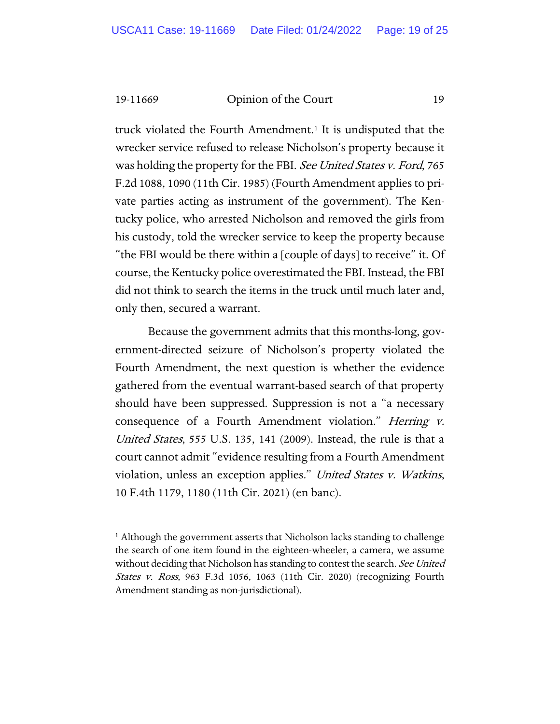truck violated the Fourth Amendment.<sup>[1](#page-18-0)</sup> It is undisputed that the wrecker service refused to release Nicholson's property because it was holding the property for the FBI. See United States v. Ford, 765 F.2d 1088, 1090 (11th Cir. 1985) (Fourth Amendment applies to private parties acting as instrument of the government). The Kentucky police, who arrested Nicholson and removed the girls from his custody, told the wrecker service to keep the property because "the FBI would be there within a [couple of days] to receive" it. Of course, the Kentucky police overestimated the FBI. Instead, the FBI did not think to search the items in the truck until much later and, only then, secured a warrant.

Because the government admits that this months-long, government-directed seizure of Nicholson's property violated the Fourth Amendment, the next question is whether the evidence gathered from the eventual warrant-based search of that property should have been suppressed. Suppression is not a "a necessary consequence of a Fourth Amendment violation." *Herring v.* United States, 555 U.S. 135, 141 (2009). Instead, the rule is that a court cannot admit "evidence resulting from a Fourth Amendment violation, unless an exception applies." United States v. Watkins, 10 F.4th 1179, 1180 (11th Cir. 2021) (en banc).

<span id="page-18-0"></span><sup>&</sup>lt;sup>1</sup> Although the government asserts that Nicholson lacks standing to challenge the search of one item found in the eighteen-wheeler, a camera, we assume without deciding that Nicholson has standing to contest the search. See United States v. Ross, 963 F.3d 1056, 1063 (11th Cir. 2020) (recognizing Fourth Amendment standing as non-jurisdictional).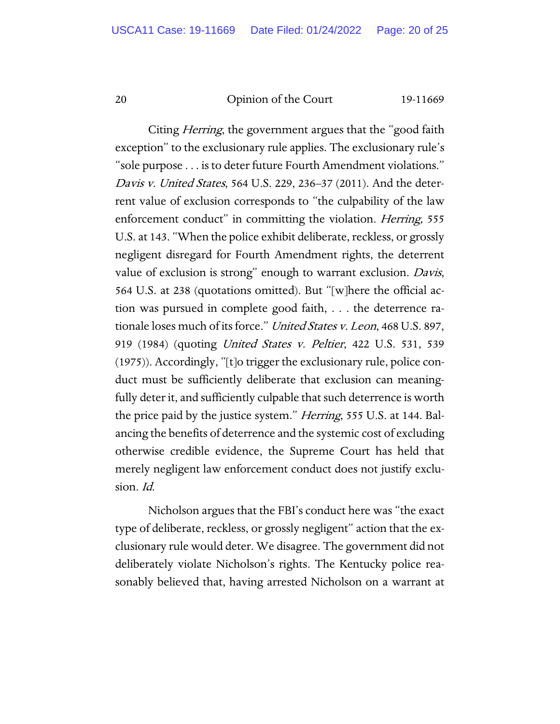Citing *Herring*, the government argues that the "good faith" exception" to the exclusionary rule applies. The exclusionary rule's "sole purpose . . . is to deter future Fourth Amendment violations." Davis v. United States, 564 U.S. 229, 236–37 (2011). And the deterrent value of exclusion corresponds to "the culpability of the law enforcement conduct" in committing the violation. *Herring*, 555 U.S. at 143. "When the police exhibit deliberate, reckless, or grossly negligent disregard for Fourth Amendment rights, the deterrent value of exclusion is strong" enough to warrant exclusion. Davis, 564 U.S. at 238 (quotations omitted). But "[w]here the official action was pursued in complete good faith, . . . the deterrence rationale loses much of its force." United States v. Leon, 468 U.S. 897, 919 (1984) (quoting United States v. Peltier, 422 U.S. 531, 539 (1975)). Accordingly, "[t]o trigger the exclusionary rule, police conduct must be sufficiently deliberate that exclusion can meaningfully deter it, and sufficiently culpable that such deterrence is worth the price paid by the justice system." *Herring*, 555 U.S. at 144. Balancing the benefits of deterrence and the systemic cost of excluding otherwise credible evidence, the Supreme Court has held that merely negligent law enforcement conduct does not justify exclusion. Id.

Nicholson argues that the FBI's conduct here was "the exact type of deliberate, reckless, or grossly negligent" action that the exclusionary rule would deter. We disagree. The government did not deliberately violate Nicholson's rights. The Kentucky police reasonably believed that, having arrested Nicholson on a warrant at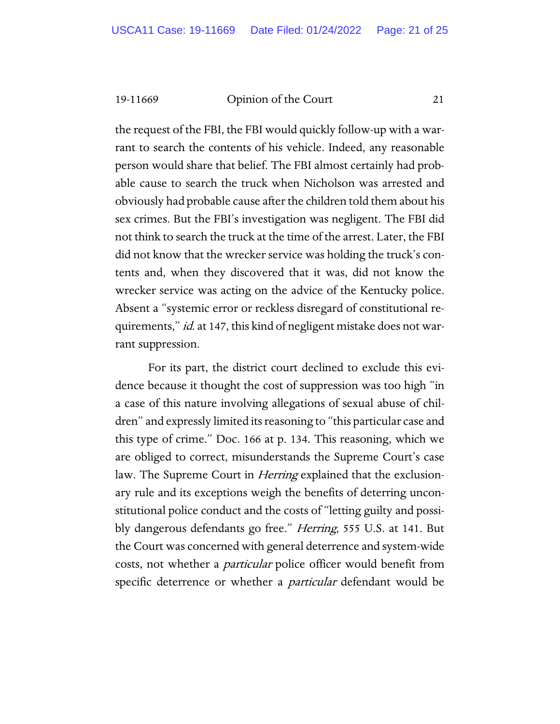the request of the FBI, the FBI would quickly follow-up with a warrant to search the contents of his vehicle. Indeed, any reasonable person would share that belief. The FBI almost certainly had probable cause to search the truck when Nicholson was arrested and obviously had probable cause after the children told them about his sex crimes. But the FBI's investigation was negligent. The FBI did not think to search the truck at the time of the arrest. Later, the FBI did not know that the wrecker service was holding the truck's contents and, when they discovered that it was, did not know the wrecker service was acting on the advice of the Kentucky police. Absent a "systemic error or reckless disregard of constitutional requirements," *id.* at 147, this kind of negligent mistake does not warrant suppression.

For its part, the district court declined to exclude this evidence because it thought the cost of suppression was too high "in a case of this nature involving allegations of sexual abuse of children" and expressly limited its reasoning to "this particular case and this type of crime." Doc. 166 at p. 134. This reasoning, which we are obliged to correct, misunderstands the Supreme Court's case law. The Supreme Court in *Herring* explained that the exclusionary rule and its exceptions weigh the benefits of deterring unconstitutional police conduct and the costs of "letting guilty and possibly dangerous defendants go free." *Herring*, 555 U.S. at 141. But the Court was concerned with general deterrence and system-wide costs, not whether a *particular* police officer would benefit from specific deterrence or whether a *particular* defendant would be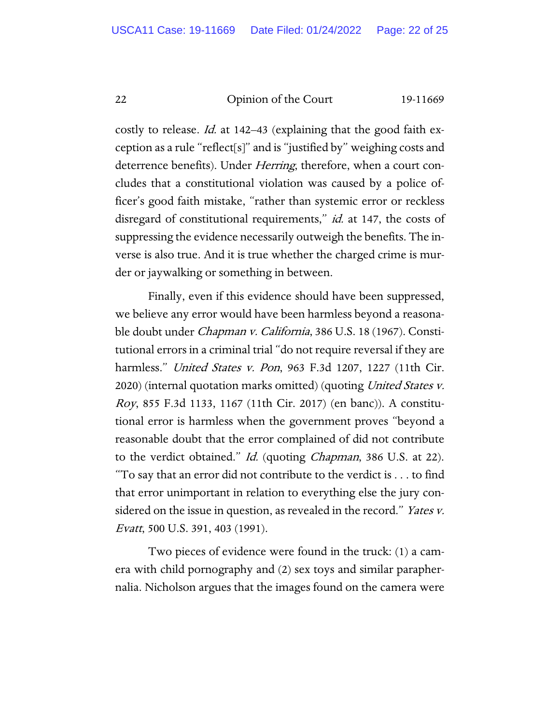costly to release. *Id.* at 142–43 (explaining that the good faith exception as a rule "reflect[s]" and is "justified by" weighing costs and deterrence benefits). Under *Herring*, therefore, when a court concludes that a constitutional violation was caused by a police officer's good faith mistake, "rather than systemic error or reckless disregard of constitutional requirements," id. at 147, the costs of suppressing the evidence necessarily outweigh the benefits. The inverse is also true. And it is true whether the charged crime is murder or jaywalking or something in between.

Finally, even if this evidence should have been suppressed, we believe any error would have been harmless beyond a reasonable doubt under Chapman v. California, 386 U.S. 18 (1967). Constitutional errors in a criminal trial "do not require reversal if they are harmless." United States v. Pon, 963 F.3d 1207, 1227 (11th Cir. 2020) (internal quotation marks omitted) (quoting *United States v.* Roy, 855 F.3d 1133, 1167 (11th Cir. 2017) (en banc)). A constitutional error is harmless when the government proves "beyond a reasonable doubt that the error complained of did not contribute to the verdict obtained." *Id.* (quoting *Chapman*, 386 U.S. at 22). "To say that an error did not contribute to the verdict is . . . to find that error unimportant in relation to everything else the jury considered on the issue in question, as revealed in the record." Yates v. Evatt, 500 U.S. 391, 403 (1991).

Two pieces of evidence were found in the truck: (1) a camera with child pornography and (2) sex toys and similar paraphernalia. Nicholson argues that the images found on the camera were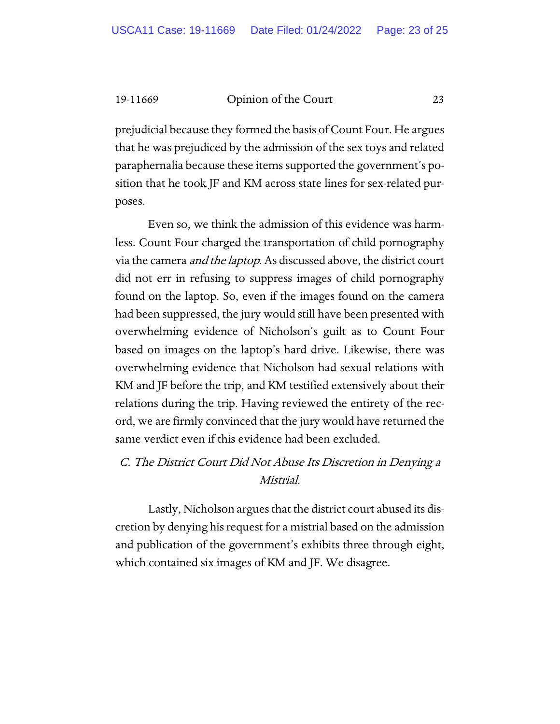prejudicial because they formed the basis of Count Four. He argues that he was prejudiced by the admission of the sex toys and related paraphernalia because these items supported the government's position that he took JF and KM across state lines for sex-related purposes.

Even so, we think the admission of this evidence was harmless. Count Four charged the transportation of child pornography via the camera and the laptop. As discussed above, the district court did not err in refusing to suppress images of child pornography found on the laptop. So, even if the images found on the camera had been suppressed, the jury would still have been presented with overwhelming evidence of Nicholson's guilt as to Count Four based on images on the laptop's hard drive. Likewise, there was overwhelming evidence that Nicholson had sexual relations with KM and JF before the trip, and KM testified extensively about their relations during the trip. Having reviewed the entirety of the record, we are firmly convinced that the jury would have returned the same verdict even if this evidence had been excluded.

### C. The District Court Did Not Abuse Its Discretion in Denying a Mistrial.

Lastly, Nicholson argues that the district court abused its discretion by denying his request for a mistrial based on the admission and publication of the government's exhibits three through eight, which contained six images of KM and JF. We disagree.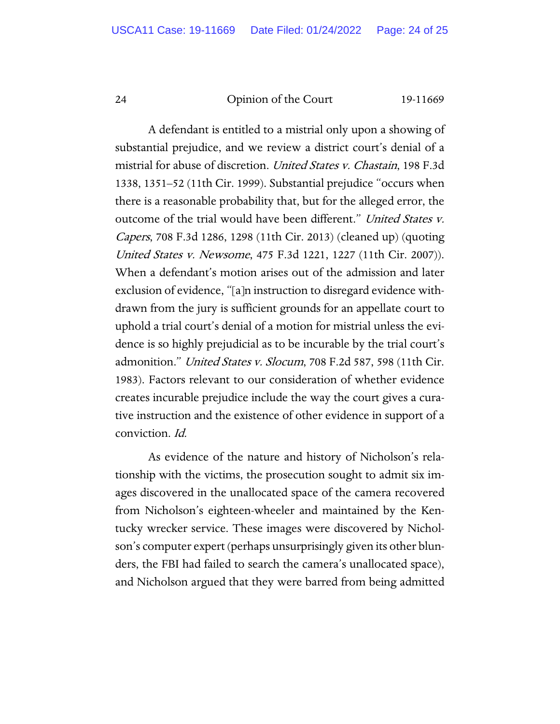A defendant is entitled to a mistrial only upon a showing of substantial prejudice, and we review a district court's denial of a mistrial for abuse of discretion. United States v. Chastain, 198 F.3d 1338, 1351–52 (11th Cir. 1999). Substantial prejudice "occurs when there is a reasonable probability that, but for the alleged error, the outcome of the trial would have been different." United States v. Capers, 708 F.3d 1286, 1298 (11th Cir. 2013) (cleaned up) (quoting United States v. Newsome, 475 F.3d 1221, 1227 (11th Cir. 2007)). When a defendant's motion arises out of the admission and later exclusion of evidence, "[a]n instruction to disregard evidence withdrawn from the jury is sufficient grounds for an appellate court to uphold a trial court's denial of a motion for mistrial unless the evidence is so highly prejudicial as to be incurable by the trial court's admonition." United States v. Slocum, 708 F.2d 587, 598 (11th Cir. 1983). Factors relevant to our consideration of whether evidence creates incurable prejudice include the way the court gives a curative instruction and the existence of other evidence in support of a conviction. Id.

As evidence of the nature and history of Nicholson's relationship with the victims, the prosecution sought to admit six images discovered in the unallocated space of the camera recovered from Nicholson's eighteen-wheeler and maintained by the Kentucky wrecker service. These images were discovered by Nicholson's computer expert (perhaps unsurprisingly given its other blunders, the FBI had failed to search the camera's unallocated space), and Nicholson argued that they were barred from being admitted